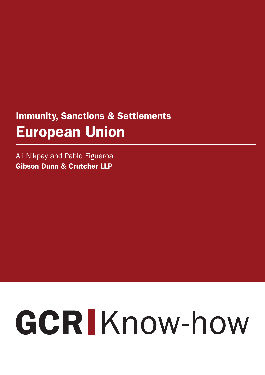## Immunity, Sanctions & Settlements European Union

Ali Nikpay and Pablo Figueroa Gibson Dunn & Crutcher LLP

# GCRIKnow-how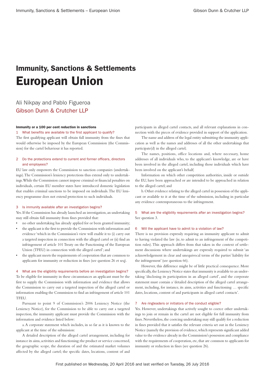### Immunity, Sanctions & Settlements European Union

#### Ali Nikpay and Pablo Figueroa Gibson Dunn & Crutcher LLP

#### Immunity or a 100 per cent reduction in sanctions

#### What benefits are available to the first applicant to qualify?

The first qualifying applicant will obtain full immunity from the fines that would otherwise be imposed by the European Commission (the Commission) for the cartel behaviour it has reported.

#### 2 Do the protections extend to current and former officers, directors and employees?

EU law only empowers the Commission to sanction companies (undertakings). The Commission's leniency protections thus extend only to undertakings. While the Commission cannot impose criminal or financial penalties on individuals, certain EU member states have introduced domestic legislation that enables criminal sanctions to be imposed on individuals. The EU leniency programme does not extend protection to such individuals.

#### 3 Is immunity available after an investigation begins?

Yes. If the Commission has already launched an investigation, an undertaking may still obtain full immunity from fines provided that:

- no other undertaking has already applied for or been granted immunity;
- the applicant is the first to provide the Commission with information and evidence 'which in the Commission's view will enable it to (i) carry out a targeted inspection in connection with the alleged cartel or (ii) find an infringement of article 101 Treaty on the Functioning of the European Union (TFEU) in connection with the alleged cartel'; and
- the applicant meets the requirements of cooperation that are common to applicants for immunity or reduction in fines (see question 26 et seq).

#### 4 What are the eligibility requirements before an investigation begins?

To be eligible for immunity in these circumstances an applicant must be the first to supply the Commission with information and evidence that allows the Commission to carry out a targeted inspection of the alleged cartel or information enabling the Commission to find an infringement of article 101 TFFU.

Pursuant to point 9 of Commission's 2006 Leniency Notice (the Leniency Notice), for the Commission to be able to carry out a targeted inspection, the immunity applicant must provide the Commission with the information and evidence listed below:

a. A corporate statement which includes, in so far as it is known to the applicant at the time of the submission:

A detailed description of the alleged cartel arrangement, including for instance its aims, activities and functioning; the product or service concerned, the geographic scope, the duration of and the estimated market volumes affected by the alleged cartel; the specific dates, locations, content of and

participants in alleged cartel contacts, and all relevant explanations in connection with the pieces of evidence provided in support of the application.

The name and address of the legal entity submitting the immunity application as well as the names and addresses of all the other undertakings that participate(d) in the alleged cartel;

The names, positions, office locations and, where necessary, home addresses of all individuals who, to the applicant's knowledge, are or have been involved in the alleged cartel, including those individuals which have been involved on the applicant's behalf;

Information on which other competition authorities, inside or outside the EU, have been approached or are intended to be approached in relation to the alleged cartel; and

b. Other evidence relating to the alleged cartel in possession of the applicant or available to it at the time of the submission, including in particular any evidence contemporaneous to the infringement.

#### 5 What are the eligibility requirements after an investigation begins? See question 3.

#### 6 Will the applicant have to admit to a violation of law?

There is no provision expressly requiring an immunity applicant to admit to having violated the law (ie, to admit to an infringement of the competition rules). This approach differs from that taken in the context of settlement discussions where undertakings are expressly required to submit 'an acknowledgement in clear and unequivocal terms of the parties' liability for the infringement' (see question 66).

However, this difference might be of little practical consequence. More specifically, the Leniency Notice states that immunity is available to an undertaking 'disclosing its participation in an alleged cartel', and the corporate statement must contain a 'detailed description of the alleged cartel arrangement, including, for instance, its aims, activities and functioning … specific dates, locations, content of and participants in alleged cartel contacts'.

#### 7 Are ringleaders or initiators of the conduct eligible?

Yes. However, undertakings that actively sought to coerce other undertakings to join or remain in the cartel are not eligible for full immunity from fines. Nevertheless, the coercing undertaking may still qualify for a reduction in fines provided that it satisfies the relevant criteria set out in the Leniency Notice (namely the provision of evidence, which represents significant added value to the evidence already in the Commission's possession and compliance with the requirements of cooperation, etc, that are common to applicants for immunity or reduction in fines (see question 26).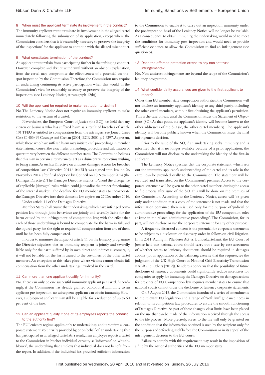#### 8 When must the applicant terminate its involvement in the conduct?

The immunity applicant must terminate its involvement in the alleged cartel immediately following the submission of its application, except where the Commission considers that it is 'reasonably necessary to preserve the integrity of the inspections' for the applicant to continue with the alleged misconduct.

#### 9 What constitutes termination of the conduct?

An applicant must refrain from participating further in the infringing conduct. However, complete and abrupt withdrawal without an obvious explanation, from the cartel may compromise the effectiveness of a potential on-thespot inspection by the Commission. Therefore, the Commission may require an undertaking continuing its active participation when this would 'in the Commission's view be reasonably necessary to preserve the integrity of the inspections' (see Leniency Notice, at paragraph 12(b)).

#### 10 Will the applicant be required to make restitution to victims?

No. The Leniency Notice does not require an immunity applicant to make restitution to the victims of a cartel.

Nevertheless, the European Court of Justice (the ECJ) has held that any citizen or business who has suffered harm as a result of breaches of article 101 TFEU is entitled to compensation from the infringers: see Joined Cases Case C-453/99 Courage and Crehan [2001] ECR 2001 p. I-6297. At present, while those who have suffered harm may initiate civil proceedings in member state national courts, the exact rules of standing, procedure and calculation of quantum vary between the different member states. The Commission believes that this may, in certain circumstances, act as a disincentive to victims wishing to bring claims. As such, a Directive on antitrust damages actions for breaches of competition law (Directive 2014/104/EU) was signed into law on 26 November 2014, after final adoption by Council on 10 November 2014 (the Damages Directive). The Damages Directive intends to 'avoid the divergence of applicable [damages] rules, which could jeopardise the proper functioning of the internal market'. The deadline for EU member states to incorporate the Damages Directive into their domestic law expires on 27 December 2016.

Under article 11 of the Damages Directive:

Member States shall ensure that undertakings which have infringed competition law through joint behaviour are jointly and severally liable for the harm caused by the infringement of competition law; with the effect that each of those undertakings is bound to compensate for the harm in full, and the injured party has the right to require full compensation from any of them until he has been fully compensated.

In order to minimise the impact of article 11 on the leniency programme the Directive stipulates that an immunity recipient is jointly and severally liable only for the harm suffered by its own direct and indirect customers, ie, it will not be liable for the harm caused to the customers of the other cartel members. An exception to this takes place where victims cannot obtain full compensation from the other undertakings involved in the cartel.

#### 11 Can more than one applicant qualify for immunity?

No. There can only be one successful immunity applicant per cartel. Accordingly, if the Commission has already granted conditional immunity to an applicant pre-inspection, no subsequent applicant can obtain immunity. However, a subsequent applicant may still be eligible for a reduction of up to 50 per cent of the fine.

#### 12 Can an applicant qualify if one of its employees reports the conduct to the authority first?

The EU leniency regime applies only to undertakings, and it requires a 'corporate statement' voluntarily provided by, or on behalf of, an undertaking that has participated in an alleged cartel. As a result, if an employee reports a cartel to the Commission in his/her individual capacity as 'informant' or 'whistleblower', the undertaking that employs that individual does not benefit from the report. In addition, if the individual has provided sufficient information

to the Commission to enable it to carry out an inspection, immunity under the pre-inspection head of the Leniency Notice will no longer be available. As a consequence, to obtain immunity, the undertaking would need to meet the conditions for immunity post-inspection and would need to provide sufficient evidence to allow the Commission to find an infringement (see question 5).

#### 13 Does the afforded protection extend to any non-antitrust infringements?

No. Non-antitrust infringements are beyond the scope of the Commission's leniency programme.

#### 14 What confidentiality assurances are given to the first applicant to report?

Other than EU member state competition authorities, the Commission will not disclose an immunity applicant's identity to any third partiy, including the other cartel members, without first obtaining the applicant's permission. This is the case, at least until the Commission issues the Statement of Objections (SO). At that point, the applicant's identity will become known to the other addressees of the SO (ie, the other cartel members). The applicant's identity will become publicly known when the Commission issues the final infringement decision.

Prior to the issue of the SO, if an undertaking seeks immunity and is informed that it is no longer available because of a prior application, the Commission will not disclose to the undertaking the identity of the first-in applicant.

The Leniency Notice specifies that the corporate statement, which sets out the immunity applicant's understanding of the cartel and its role in the cartel, can be provided orally to the Commission. The statement will be recorded and transcribed on the Commission's premises. Access to the corporate statement will be given to the other cartel members during the access to file process after issue of the SO. This will be done on the premises of the Commission. According to the Leniency Notice, access will be given only under condition that a copy of the statement is not made and that the information contained therein is used only for the purpose of 'judicial or administrative proceedings for the application of the EU competition rules at issue in the related administrative proceedings'. The Commission, for its part, will not disclose or use the corporate statement for any other purpose.

A frequently discussed concern is the potential for corporate statements to be subject to a disclosure or discovery order in follow-on civil litigation. In its 2011 Ruling in Pfleiderer AG vs. Bundeskartellamt, the EU Court of Justice held that national courts should carry out a case-by-case assessment of whether access to leniency documents should be required in damages actions (for an application of the balancing exercise that this requires, see the judgment of the UK High Court in National Grid Electricity Transmission v ABB and Others [2012]). To address concerns that the possibility of future disclosure of leniency documents could significantly reduce incentives for companies to apply for immunity, the Damages Directive on damages actions for breaches of EU Competition law requires member states to ensure that national courts cannot order the disclosure of leniency corporate statements.

On 5 August 2015, the Commission introduced a series of amendments to the relevant EU legislation and a range of "soft law" guidance notes in relation to its competition law procedures to ensure the smooth functioning of Damages Directive. As part of these changes, clear limits have been placed on the use that can be made of the information received through the access to the file process. More precisely, access to the file will only be granted on the condition that the information obtained is used by the recipient only for the purposes of defending itself before the Commission or in its appeal of the infringement decision to the EU courts.

Failure to comply with this requirement may result in the imposition of a fine by the national authorities of the EU member states.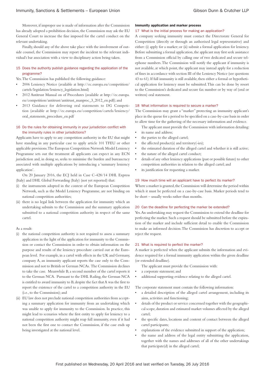Moreover, if improper use is made of information after the Commission has already adopted a prohibition decision, the Commission may ask the EU General Court to increase the fine imposed for the cartel conduct on the relevant undertaking.

Finally, should any of the above take place with the involvement of outside counsel, the Commission may report the incident to the relevant individual's bar association with a view to disciplinary action being taken.

#### 15 Does the authority publish guidance regarding the application of the programme?

Yes. The Commission has published the following guidance:

- 2006 Leniency Notice (available at http://ec.europa.eu/competition/ cartels/legislation/leniency\_legislation.html)
- 2012 Antitrust Manual on of Procedures (available at http://ec.europa. eu/competition/antitrust/antitrust\_manproc\_3\_2012\_en.pdf); and
- 2013 Guidance for delivering oral statements to DG Competition (available at http://ec.europa.eu/competition/cartels/leniency/ oral\_statements\_procedure\_en.pdf

#### 16 Do the rules for obtaining immunity in your jurisdiction conflict with the immunity rules in other jurisdictions?

Applicants have to apply to any competition authority in the EU that might have standing in any particular case to apply article 101 TFEU or other applicable provisions. The European Competition Network Model Leniency Programme sets out the treatment all applicants can expect in any ECN jurisdiction and, in doing so, seeks to minimise the burden and bureaucracy associated with multiple applications by introducing a 'summary leniency application'.

On 20 January 2016, the ECJ held in Case C-428/14 DHL Express (Italy) and DHL Global Forwarding (Italy) (not yet reported) that:

- (i) the instruments adopted in the context of the European Competition Network, such as the Model Leniency Programme, are not binding on national competition authorities;
- (ii) there is no legal link between the application for immunity which an undertaking submits to the Commission and the summary application submitted to a national competition authority in respect of the same cartel.
- As a result:
- (i) the national competition authority is not required to assess a summary application in the light of the application for immunity to the Commission or contact the Commission in order to obtain information on the purpose and results of the leniency procedure carried out at the European level. For example, in a cartel with effects in the UK and Germany, company A, an immunity applicant reports the case only to the Commission and not to British or German NCAs. The Commission declines to take the case. Meanwhile B, a second member of the cartel reports it to the German NCA. Pursuant to the DHL Ruling, the German NCA is entitled to award immunity to B, despite the fact that A was the first to report the existence of the cartel to a competition authority in the EU (i.e., to the Commission); and
- (ii) EU law does not preclude national competition authorities from accepting a summary application for immunity from an undertaking which was unable to apply for immunity to the Commission. In practice, this might lead to scenarios where the first entity to apply for leniency to a national competition authority might reap full immunity, even if it had not been the first one to contact the Commission, if the case ends up being investigated at the national level.

#### Immunity application and marker process

#### 17 What is the initial process for making an application?

A company seeking immunity must contact the Directorate General for Competition (directly or through an authorised legal representative) and either: (i) apply for a marker; or (ii) submit a formal application for leniency. Before submitting a formal application, the applicant may first seek assistance from a Commission official by calling one of two dedicated and secure telephone numbers. The Commission will notify the applicant if immunity is not available, at which point, the applicant may instead apply for a reduction of fines in accordance with section III of the Leniency Notice (see questions 43 to 61). If full immunity is still available, then either a formal or hypothetical application for leniency must be submitted. This can be done by resort to the Commission's dedicated and secure fax number or by way of (oral or written) oral statement.

#### 18 What information is required to secure a marker?

The Commission may grant a "marker" protecting an immunity applicant's place in the queue for a period to be specified on a case-by-case basis in order to allow time for the gathering of the necessary information and evidence.

The applicant must provide the Commission with information detailing: its name and address;

- the parties to the alleged cartel;
- the affected product(s) and territory(-ies);
- the estimated duration of the alleged cartel and whether it is still active;
- the nature of the alleged cartel conduct;
- details of any other leniency applications (past or possible future) to other competition authorities in relation to the alleged cartel; and
- its justification for requesting a marker.

#### 19 How much time will an applicant have to perfect its marker?

Where a marker is granted, the Commission will determine the period within which it must be perfected on a case-by-case basis. Marker periods tend to be short – usually weeks rather than months.

#### 20 Can the deadline for perfecting the marker be extended?

Yes. An undertaking may request the Commission to extend the deadline for perfecting the marker. Such a request should be submitted before the expiration of the marker and include sufficient detail to enable the Commission to make an informed decision. The Commission has discretion to accept or reject the request.

#### 21 What is required to perfect the marker?

A marker is perfected when the applicant submits the information and evidence required for a formal immunity application within the given deadline (or extended deadline).

- The applicant must provide the Commission with:
- a corporate statement; and
- additional supporting evidence relating to the alleged cartel.

The corporate statement must contain the following information:

- a detailed description of the alleged cartel arrangement, including its aims, activities and functioning;
- details of the product or service concerned together with the geographical scope, duration and estimated market volumes affected by the alleged cartel;
- the specific dates, locations and content of contact between the alleged cartel participants;
- explanations of the evidence submitted in support of the application:
- the name and address of the legal entity submitting the application, together with the names and addresses of all of the other undertakings that participate(d) in the alleged cartel;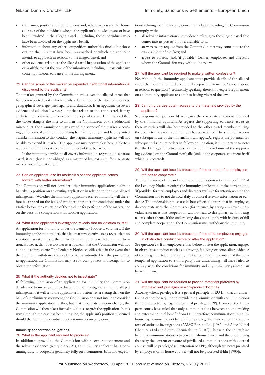- the names, positions, office locations and, where necessary, the home addresses of the individuals who, to the applicant's knowledge, are, or have been, involved in the alleged cartel – including those individuals who have been involved on the applicant's behalf;
- information about any other competition authorities (including those outside the EU) that have been approached or which the applicant intends to approach in relation to the alleged cartel; and
- other evidence relating to the alleged cartel in possession of the applicant or available to it at the time of the submission, including in particular any contemporaneous evidence of the infringement.

#### 22 Can the scope of the marker be expanded if additional information is discovered by the applicant?

The marker granted by the Commission will cover the alleged cartel that has been reported to it (which entails a delineation of the affected products, geographical coverage, participants and duration). If an applicant discovers evidence of additional wrongdoing that relates to the same cartel, it may apply to the Commission to extend the scope of the marker. Provided that the undertaking is the first to inform the Commission of the additional misconduct, the Commission may extend the scope of the marker accordingly. However, if another undertaking has already sought and been granted a marker in relation to that conduct, the original immunity applicant will not be able to extend its marker. The applicant may nevertheless be eligible to a reduction on the fines it received in respect of that behaviour.

If the immunity applicant discovers information regarding a separate cartel, it can (but is not obliged, as a matter of law, to) apply for a separate marker covering that cartel.

#### 23 Can an applicant lose its marker if a second applicant comes forward with better information?

The Commission will not consider other immunity applications before it has taken a position on an existing application in relation to the same alleged infringement. Whether the immunity applicant receives immunity will therefore be assessed on the basis of whether it has met the conditions under the Notice before the expiration of the deadline for perfection of the marker, not on the basis of a comparison with another application.

#### 24 What if the applicant's investigation reveals that no violation exists?

An application for immunity under the Leniency Notice is voluntary. If the immunity applicant considers that its own investigative steps reveal that no violation has taken place, the applicant can choose to withdraw its application. However, that does not necessarily mean that the Commission will not continue to investigate. The Leniency Notice specifies that, in the event that the applicant withdraws the evidence it has submitted for the purpose of its application, the Commission may use its own powers of investigation to obtain the information.

#### 25 What if the authority decides not to investigate?

If, following submission of an application for immunity, the Commission decides not to investigate or to discontinue its investigations into the alleged infringement, it will send the applicant a 'no-action' letter stating that, on the basis of a preliminary assessment, the Commission does not intend to consider the immunity application further, but that should its position change, the Commission will then take a formal position as regards the application. In this way, although the case has been put aside, the applicant's position is secured should the Commission subsequently resume its investigation.

#### Immunity cooperation obligations

#### 26 What is the applicant required to produce?

In addition to providing the Commission with a corporate statement and the relevant evidence (see question 21), an immunity applicant has a continuing duty to cooperate genuinely, fully, on a continuous basis and expeditiously throughout the investigation. This includes providing the Commission promptly with:

- all relevant information and evidence relating to the alleged cartel that comes into its possession or is available to it;
- answers to any request from the Commission that may contribute to the establishment of the facts; and
- access to current (and, 'if possible', former) employees and directors whom the Commission may wish to interview.

#### 27 Will the applicant be required to make a written confession?

No. Although the immunity applicant must provide details of the alleged cartel, the Commission will accept oral corporate statements. As noted above in relation to question 6, technically speaking, there is no express requirement on an immunity applicant to admit to having violated the law.

#### 28 Can third parties obtain access to the materials provided by the applicant?

See response to question 14 as regards the corporate statement provided by the immunity applicant. As regards the supporting evidence, access to these materials will also be provided to the other cartel members during the access to file process after an SO has been issued. The same restrictions on subsequent use of the information will apply. As regards the potential for subsequent disclosure orders in follow-on litigation, it is important to note that the Damages Directive does not exclude the disclosure of the supporting evidence on the Commission's file (unlike the corporate statement itself which is protected).

#### 29 Will the applicant lose its protection if one or more of its employees refuses to cooperate?

The requirement of full and continuous cooperation set out in point 12 of the Leniency Notice requires the immunity applicant to make current (and, 'if possible', former) employees and directors available for interviews with the Commission and to not destroy, falsify or conceal relevant information or evidence. The undertaking must use its best efforts to ensure that its employees do cooperate with the Commission (for instance, by giving employees individual assurances that cooperation will not lead to disciplinary action being taken against them). If the undertaking does not comply with its duty of full and complete cooperation, the Commission may withdraw the immunity.

#### 30 Will the applicant lose its protection if one of its employees engages in obstructive conduct before or after the application?

See question 29. If an employee, either before or after the application, engages in obstructive conduct (such as destroying, falsifying or concealing evidence of the alleged cartel, or disclosing the fact or any of the content of the contemplated application to a third party), the undertaking will have failed to comply with the conditions for immunity and any immunity granted can be withdrawn.

#### 31 Will the applicant be required to provide materials protected by attorney-client privileges or work-product doctrine?

Attorney–client privilege: It is a general principle of EU law that an undertaking cannot be required to provide the Commission with communications that are protected by legal professional privilege (LPP). However, the European courts have ruled that only communications between an undertaking and external counsel benefit from LPP. Therefore, communications with inhouse legal counsel do not benefit from privilege from inspection in the context of antitrust investigations (AM&S Europe Ltd [1982] and Akzo Nobel Chemicals Ltd and Akcros Chemicals Ltd [2010]). That said, the courts have held that communications between an in-house lawyer and the undertaking that relay the content or nature of privileged communications with external counsel will be privileged (an extension of LPP), although file notes prepared by employees or in-house counsel will not be protected (Hilti [1990]).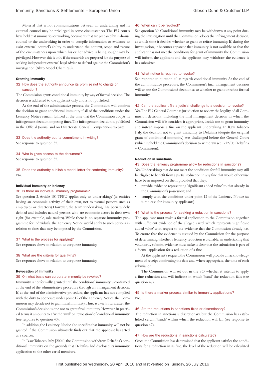Material that is not communications between an undertaking and its external counsel may be privileged in some circumstances. The EU courts have held that summaries or working documents that are prepared by in-house counsel or the undertaking in order to compile information or evidence to assist external counsel's ability to understand the context, scope and nature of the circumstances upon which his or her advice is being sought may be privileged. However, this is only if the materials are prepared for the purpose of seeking independent external legal advice to defend against the Commission's investigation (Akzo Nobel Chemicals).

#### Granting immunity

#### 32 How does the authority announce its promise not to charge or sanction?

The Commission grants conditional immunity by way of formal decision. The decision is addressed to the applicant only and is not published.

At the end of the administrative process, the Commission will confirm the decision to grant conditional immunity if all of the conditions under the Leniency Notice remain fulfilled at the time that the Commission adopts its infringement decision imposing fines. The infringement decision is published in the Official Journal and on Directorate General Competition's website.

#### 33 Does the authority put its commitment in writing?

See response to question 32.

#### 34 Who is given access to the document?

See response to question 32.

35 Does the authority publish a model letter for conferring immunity? No.

#### Individual immunity or leniency

#### 36 Is there an individual immunity programme?

See question 2. Article 101 TFEU applies only to 'undertakings' (ie, entities having an economic activity of their own, not to natural persons such as employees or directors).However, the term 'undertaking' has been widely defined and includes natural persons who are economic actors in their own right (for example, sole traders). While there is no separate immunity programme for individuals, the Leniency Notice would apply to such persons in relation to fines that may be imposed by the Commission.

#### 37 What is the process for applying?

See responses above in relation to corporate immunity.

#### 38 What are the criteria for qualifying?

See responses above in relation to corporate immunity.

#### Revocation of immunity

#### 39 On what basis can corporate immunity be revoked?

Immunity is not formally granted until the conditional immunity is confirmed at the end of the administrative procedure through an infringement decision. If, at the end of the administrative procedure, the applicant has not complied with the duty to cooperate under point 12 of the Leniency Notice, the Commission may decide not to grant final immunity. Thus, as a technical matter, the Commission's decision is one not to grant final immunity. However, in practical terms it amounts to a 'withdrawal' or 'revocation' of conditional immunity (see response to question 40).

In addition, the Leniency Notice also specifies that immunity will not be granted if the Commission ultimately finds out that the applicant has acted as a coercer.

In Raw Tobacco Italy [2004], the Commission withdrew Deltafina's conditional immunity on the grounds that Deltafina had disclosed its immunity application to the other cartel members.

#### 40 When can it be revoked?

See question 39. Conditional immunity may be withdrawn at any point during the investigation until the Commission adopts the infringement decision, at which time it decides whether to grant or refuse immunity. If, during the investigation, it becomes apparent that immunity is not available or that the applicant has not met the conditions for grant of immunity, the Commission will inform the applicant and the applicant may withdraw the evidence it has submitted.

#### 41 What notice is required to revoke?

See response to question 40 as regards conditional immunity. At the end of the administrative procedure, the Commission's final infringement decision will set out the Commission's decision as to whether to grant or refuse formal immunity.

#### 42 Can the applicant file a judicial challenge to a decision to revoke?

Yes. The EU General Court has jurisdiction to review the legality of all Commission decisions, including the final infringement decision in which the Commission will, if it considers it appropriate, decide not to grant immunity and instead impose a fine on the applicant undertaking. In Raw Tobacco Italy, the decision not to grant immunity to Deltafina (despite the original grant of conditional immunity) was challenged before the General Court (which upheld the Commission's decision to withdraw, see T-12/06 Deltafina v Commission).

#### Reduction in sanctions

#### 43 Does the leniency programme allow for reductions in sanctions?

Yes. Undertakings that do not meet the conditions for full immunity may still be eligible to benefit from a partial reduction in any fine that would otherwise have been imposed on them provided that they:

- provide evidence representing 'significant added value' to that already in the Commission's possession; and
- comply with the conditions under point 12 of the Leniency Notice (as is the case for immunity applicants).

#### 44 What is the process for seeking a reduction in sanctions?

The applicant must make a formal application to the Commission, together with sufficient evidence of the alleged cartel which represents 'significant added value' with respect to the evidence that the Commission already has. To ensure that the evidence is assessed by the Commission for the purpose of determining whether a leniency reduction is available, an undertaking that voluntarily submits evidence must make it clear that the submission is part of a formal application for a reduction of a fine.

At the applicant's request, the Commission will provide an acknowledgment of receipt confirming the date and, where appropriate, the time of each submission.

The Commission will set out in the SO whether it intends to apply a fine reduction and will indicate in which 'band' the reduction falls (see question 47).

#### 45 Is there a marker process similar to immunity applications?  $N_{\Omega}$

#### 46 Are the reductions in sanctions fixed or discretionary?

The reduction in sanctions is discretionary, but the Commission has established certain 'bands' within which the reduction will fall (see response to question 47).

#### 47 How are the reductions in sanctions calculated?

Once the Commission has determined that the applicant satisfies the conditions for a reduction in its fine, the level of the reduction will be calculated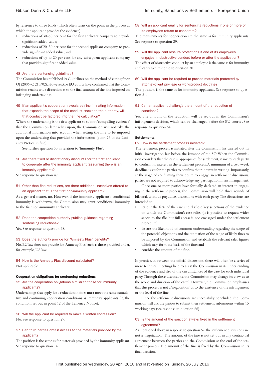by reference to three bands (which often turns on the point in the process at which the applicant provides the evidence):

- reductions of 30–50 per cent for the first applicant company to provide significant added value;
- reductions of 20–30 per cent for the second applicant company to provide significant added value; and
- reductions of up to 20 per cent for any subsequent applicant company that provides significant added value.

#### 48 Are there sentencing guidelines?

The Commission has published its Guidelines on the method of setting fines: OJ (2006/C 210/02). However, the EU courts have confirmed that the Commission retains wide discretion as to the final amount of the fine imposed on infringing undertakings.

#### 49 If an applicant's cooperation reveals self-incriminating information that expands the scope of the conduct known to the authority, will that conduct be factored into the fine calculation?

Where the undertaking is the first applicant to submit 'compelling evidence' that the Commission later relies upon, the Commission will not take the additional information into account when setting the fine to be imposed upon the undertaking that provided the information (point 26 of the Leniency Notice in fine).

See further question 53 in relation to 'Immunity Plus'.

#### 50 Are there fixed or discretionary discounts for the first applicant to cooperate after the immunity applicant (assuming there is an immunity applicant)?

See response to question 47.

#### 51 Other than fine reductions, are there additional incentives offered to an applicant that is the first non-immunity applicant?

As a general matter, no. However, if the immunity applicant's conditional immunity is withdrawn, the Commission may grant conditional immunity to the first non-immunity applicant.

#### 52 Does the competition authority publish guidance regarding sentencing reductions?

Yes. See response to question 48.

#### 53 Does the authority provide for "Amnesty Plus" benefits?

No. EU law does not provide for 'Amnesty Plus' such as those provided under, for example, US law.

#### 54 How is the Amnesty Plus discount calculated? Not applicable.

#### Cooperation obligations for sentencing reductions

#### 55 Are the cooperation obligations similar to those for immunity applicants?

Undertakings that apply for a reduction in fines must meet the same cumulative and continuing cooperation conditions as immunity applicants (ie, the conditions set out in point 12 of the Leniency Notice).

#### 56 Will the applicant be required to make a written confession? No. See response to question 27.

#### 57 Can third parties obtain access to the materials provided by the applicant?

The position is the same as for materials provided by the immunity applicant. See response to question 14.

#### 58 Will an applicant qualify for sentencing reductions if one or more of its employees refuse to cooperate?

The requirements for cooperation are the same as for immunity applicants. See response to question 29.

#### 59 Will the applicant lose its protections if one of its employees engages in obstructive conduct before or after the application?

The effect of obstructive conduct by an employee is the same as for immunity applicants. See response to question 30.

#### 60 Will the applicant be required to provide materials protected by attorney-client privilege or work-product doctrine?

The position is the same as for immunity applicants. See response to question 31.

#### 61 Can an applicant challenge the amount of the reduction of sanctions?

Yes. The amount of the reduction will be set out in the Commission's infringement decision, which can be challenged before the EU courts . See response to question 64.

#### **Settlements**

#### 62 How is the settlement process initiated?

The settlement process is initiated after the Commission has carried out its initial investigation but before the issuance of the SO. When the Commission considers that the case is appropriate for settlement, it invites each party to confirm its interest in the settlement process. A minimum of a two-week deadline is set for the parties to confirm their interest in writing. Importantly, at the stage of confirming their desire to engage in settlement discussions, parties are not required to acknowledge any participation in an infringement.

Once one or more parties have formally declared an interest in engaging in the settlement process, the Commission will hold three rounds of bilateral, without prejudice, discussions with each party. The discussions are intended to:

- set out the facts of the case and disclose key selections of the evidence on which the Commission's case relies (it is possible to request wider access to the file, but full access is not envisaged under the settlement procedure);
- discuss the likelihood of common understanding regarding the scope of the potential objections and the estimation of the range of likely fines to be imposed by the Commission and establish the relevant sales figures which may form the basis of the fine; and
- consider the amount of the fine.

In practice, in between the official discussions, there will often be a series of more technical meetings held to assist the Commission in its understanding of the evidence and also of the circumstances of the case for each individual party. Through these discussions, the Commission may change its view as to the scope and duration of the cartel. However, the Commission emphasises that this process is not a 'negotiation' as to the existence of the infringement or the level of the fine.

Once the settlement discussions are successfully concluded, the Commission will ask the parties to submit their settlement submissions within 15 working days (see response to question 66).

#### 63 Is the amount of the sanction always fixed in the settlement agreement?

As mentioned above in response to question 62, the settlement discussions are not a 'negotiation'. The amount of the fine is not set out in any contractual agreement between the parties and the Commission at the end of the settlement process. The amount of the fine is fixed by the Commission in its final decision.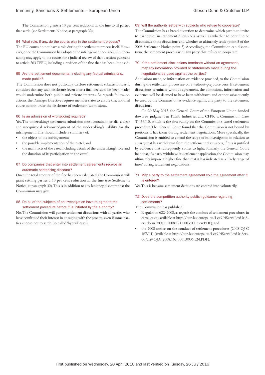The Commission grants a 10 per cent reduction in the fine to all parties that settle (see Settlements Notice, at paragraph 32).

#### 64 What role, if any, do the courts play in the settlement process?

The EU courts do not have a role during the settlement process itself. However, once the Commission has adopted the infringement decision, an undertaking may apply to the courts for a judicial review of that decision pursuant to article 263 TFEU, including a revision of the fine that has been imposed.

#### 65 Are the settlement documents, including any factual admissions, made public?

The Commission does not publically disclose settlement submissions, as it considers that any such disclosure (even after a final decision has been made) would undermine both public and private interests. As regards follow-on actions, the Damages Directive requires member states to ensure that national courts cannot order the disclosure of settlement submissions.

#### 66 Is an admission of wrongdoing required?

Yes. The undertaking's settlement submission must contain, inter alia, a clear and unequivocal acknowledgment of the undertaking's liability for the infringement. This should include a summary of:

- the object of the infringement;
- the possible implementation of the cartel; and
- the main facts of the case, including details of the undertaking's role and the duration of its participation in the cartel.

#### 67 Do companies that enter into settlement agreements receive an automatic sentencing discount?

Once the total amount of the fine has been calculated, the Commission will grant settling parties a 10 per cent reduction in the fine (see Settlements Notice, at paragraph 32). This is in addition to any leniency discount that the Commission may give.

#### 68 Do all of the subjects of an investigation have to agree to the settlement procedure before it is initiated by the authority?

No. The Commission will pursue settlement discussions with all parties who have confirmed their interest in engaging with the process, even if some parties choose not to settle (so called 'hybrid' cases).

69 Will the authority settle with subjects who refuse to cooperate?

The Commission has a broad discretion to determine which parties to invite to participate in settlement discussions as well as whether to continue or discontinue those discussions and whether to ultimately settle (point 5 of the 2008 Settlement Notice point 5). Accordingly, the Commission can discontinue the settlement process with any party that refuses to cooperate.

#### 70 If the settlement discussions terminate without an agreement, may any information provided or statements made during the negotiations be used against the parties?

Admissions made, or information or evidence provided, to the Commission during the settlement process are on a without-prejudice basis. If settlement discussions terminate without agreement, the admissions, information and evidence will be deemed to have been withdrawn and cannot subsequently be used by the Commission as evidence against any party to the settlement discussions.

On 20 May 2015, the General Court of the European Union handed down its judgment in Timab Industries and CFPR v. Commission, Case T-456/10, which is the first ruling on the Commission's cartel settlement procedure. The General Court found that the Commission is not bound by positions it has taken during settlement negotiations. More specifically, the Commission is entitled to extend the scope of its investigation in relation to a party that has withdrawn from the settlement discussions, if this is justified by evidence that subsequently comes to light. Similarly, the General Court held that, if a party withdraws its settlement application, the Commission may ultimately impose a higher fine than that it has indicated as a 'likely range of fines' during settlement negotiations.

#### 71 May a party to the settlement agreement void the agreement after it is entered?

Yes. This is because settlement decisions are entered into voluntarily.

#### 72 Does the competition authority publish guidance regarding settlements?

The Commission has published:

- Regulation 622/2008, as regards the conduct of settlement procedures in cartel cases (available at http://eur-lex.europa.eu/LexUriServ/LexUriServ.do?uri=OJ:L:2008:171:0003:0005:en:PDF); and
- the 2008 notice on the conduct of settlement procedures (2008 OJ C 167/01) (available at http://eur-lex.europa.eu/LexUriServ/LexUriServ. do?uri=OJ:C:2008:167:0001:0006:EN:PDF).